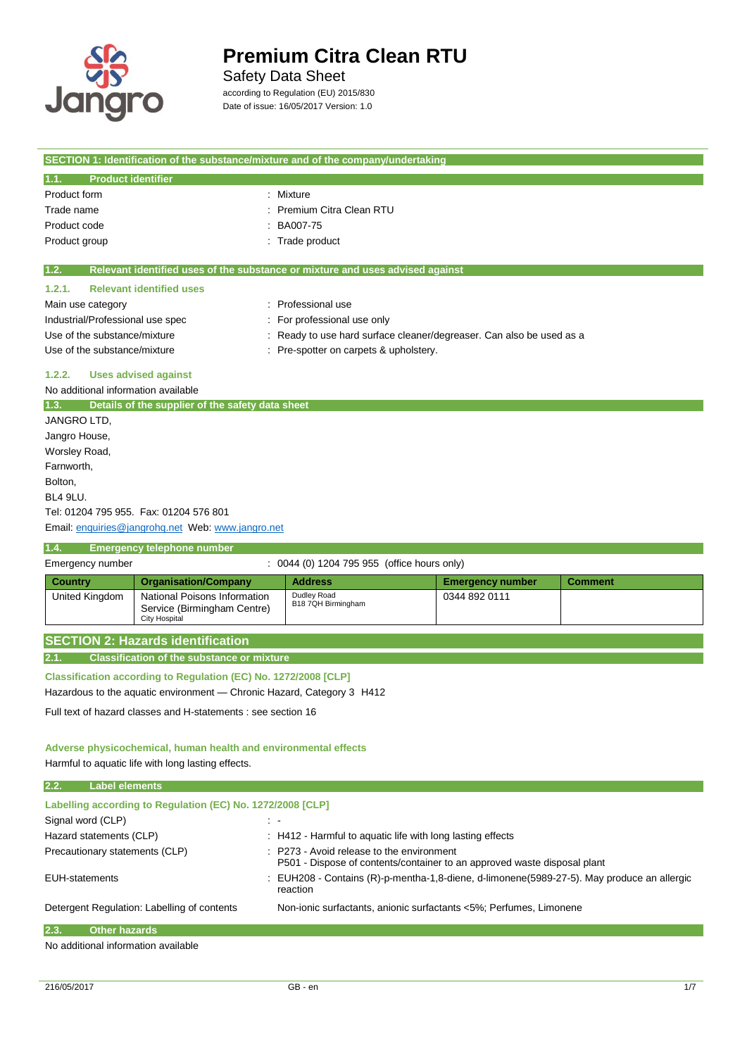

L.

# **Premium Citra Clean RTU**

## Safety Data Sheet

according to Regulation (EU) 2015/830 Date of issue: 16/05/2017 Version: 1.0

|                                                                 |                                                                                     | SECTION 1: Identification of the substance/mixture and of the company/undertaking |                         |                |  |  |
|-----------------------------------------------------------------|-------------------------------------------------------------------------------------|-----------------------------------------------------------------------------------|-------------------------|----------------|--|--|
| <b>Product identifier</b><br>1.1.                               |                                                                                     |                                                                                   |                         |                |  |  |
| Product form<br>: Mixture                                       |                                                                                     |                                                                                   |                         |                |  |  |
| Premium Citra Clean RTU<br>Trade name                           |                                                                                     |                                                                                   |                         |                |  |  |
| BA007-75<br>Product code                                        |                                                                                     |                                                                                   |                         |                |  |  |
| Product group<br>Trade product                                  |                                                                                     |                                                                                   |                         |                |  |  |
| 1.2.                                                            |                                                                                     | Relevant identified uses of the substance or mixture and uses advised against     |                         |                |  |  |
| 1.2.1.                                                          | <b>Relevant identified uses</b>                                                     |                                                                                   |                         |                |  |  |
| Main use category                                               |                                                                                     | : Professional use                                                                |                         |                |  |  |
| Industrial/Professional use spec                                |                                                                                     | For professional use only                                                         |                         |                |  |  |
| Use of the substance/mixture                                    |                                                                                     | Ready to use hard surface cleaner/degreaser. Can also be used as a                |                         |                |  |  |
| Use of the substance/mixture                                    |                                                                                     | Pre-spotter on carpets & upholstery.                                              |                         |                |  |  |
| 1.2.2.                                                          | <b>Uses advised against</b>                                                         |                                                                                   |                         |                |  |  |
| No additional information available                             |                                                                                     |                                                                                   |                         |                |  |  |
|                                                                 | 1.3. Details of the supplier of the safety data sheet                               |                                                                                   |                         |                |  |  |
| JANGRO LTD.                                                     |                                                                                     |                                                                                   |                         |                |  |  |
| Jangro House,                                                   |                                                                                     |                                                                                   |                         |                |  |  |
| Worsley Road,                                                   |                                                                                     |                                                                                   |                         |                |  |  |
| Farnworth,                                                      |                                                                                     |                                                                                   |                         |                |  |  |
| Bolton,                                                         |                                                                                     |                                                                                   |                         |                |  |  |
| BL4 9LU.                                                        |                                                                                     |                                                                                   |                         |                |  |  |
|                                                                 | Tel: 01204 795 955. Fax: 01204 576 801                                              |                                                                                   |                         |                |  |  |
|                                                                 | Email: enquiries@jangrohq.net Web: www.jangro.net                                   |                                                                                   |                         |                |  |  |
| 1.4.                                                            | <b>Emergency telephone number</b>                                                   |                                                                                   |                         |                |  |  |
| Emergency number                                                |                                                                                     | : 0044 (0) 1204 795 955 (office hours only)                                       |                         |                |  |  |
| <b>Country</b>                                                  | <b>Organisation/Company</b>                                                         | <b>Address</b>                                                                    | <b>Emergency number</b> | <b>Comment</b> |  |  |
| United Kingdom                                                  | National Poisons Information<br>Service (Birmingham Centre)<br><b>City Hospital</b> | Dudley Road<br>B18 7QH Birmingham                                                 | 0344 892 0111           |                |  |  |
|                                                                 | <b>SECTION 2: Hazards identification</b>                                            |                                                                                   |                         |                |  |  |
| 2.1.                                                            | <b>Classification of the substance or mixture</b>                                   |                                                                                   |                         |                |  |  |
|                                                                 | Classification according to Regulation (EC) No. 1272/2008 [CLP]                     |                                                                                   |                         |                |  |  |
|                                                                 | Hazardous to the aquatic environment — Chronic Hazard, Category 3 H412              |                                                                                   |                         |                |  |  |
|                                                                 | Full text of hazard classes and H-statements : see section 16                       |                                                                                   |                         |                |  |  |
|                                                                 |                                                                                     |                                                                                   |                         |                |  |  |
| Adverse physicochemical, human health and environmental effects |                                                                                     |                                                                                   |                         |                |  |  |
| Harmful to aquatio life with long lasting offects               |                                                                                     |                                                                                   |                         |                |  |  |

Harmful to aquatic life with long lasting effects.

**2.2. Label elements**

| .<br>е на селото на селото на селото на селото на селото на селото на селото на селото на селото на селото на селот |                                                                                                                                  |
|---------------------------------------------------------------------------------------------------------------------|----------------------------------------------------------------------------------------------------------------------------------|
| Labelling according to Regulation (EC) No. 1272/2008 [CLP]                                                          |                                                                                                                                  |
| Signal word (CLP)                                                                                                   | $\sim$                                                                                                                           |
| Hazard statements (CLP)                                                                                             | : H412 - Harmful to aquatic life with long lasting effects                                                                       |
| Precautionary statements (CLP)                                                                                      | $\therefore$ P273 - Avoid release to the environment<br>P501 - Dispose of contents/container to an approved waste disposal plant |
| <b>EUH-statements</b>                                                                                               | EUH208 - Contains (R)-p-mentha-1,8-diene, d-limonene(5989-27-5). May produce an allergic<br>reaction                             |
| Detergent Regulation: Labelling of contents                                                                         | Non-ionic surfactants, anionic surfactants <5%; Perfumes, Limonene                                                               |
| 2.3.<br><b>Other hazards</b>                                                                                        |                                                                                                                                  |

No additional information available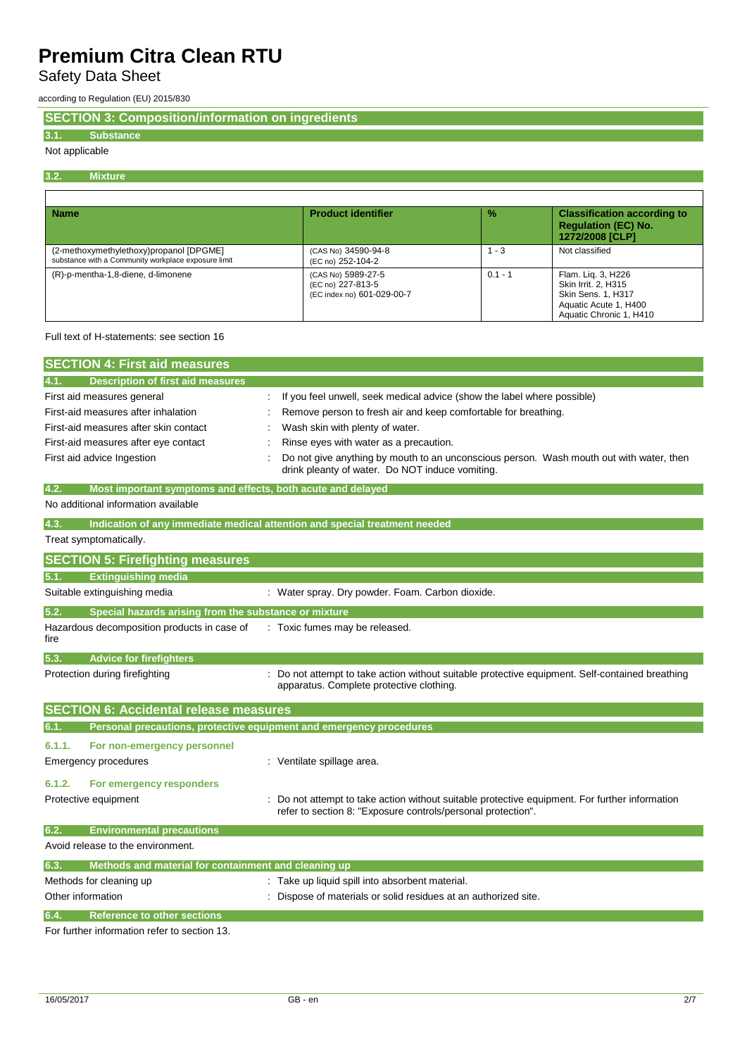Safety Data Sheet

according to Regulation (EU) 2015/830

**SECTION 3: Composition/information on ingredients**

## **3.1. Substance**

## Not applicable

#### **3.2. Mixture**

| <b>Name</b>                                                                                    | <b>Product identifier</b>                                             | $\frac{9}{6}$ | <b>Classification according to</b><br><b>Regulation (EC) No.</b><br>1272/2008 [CLP]                                 |
|------------------------------------------------------------------------------------------------|-----------------------------------------------------------------------|---------------|---------------------------------------------------------------------------------------------------------------------|
| (2-methoxymethylethoxy)propanol [DPGME]<br>substance with a Community workplace exposure limit | (CAS No) 34590-94-8<br>(EC no) 252-104-2                              | - 3           | Not classified                                                                                                      |
| (R)-p-mentha-1,8-diene, d-limonene                                                             | (CAS No) 5989-27-5<br>(EC no) 227-813-5<br>(EC index no) 601-029-00-7 | $0.1 - 1$     | Flam. Lig. 3, H226<br>Skin Irrit. 2. H315<br>Skin Sens. 1, H317<br>Aquatic Acute 1, H400<br>Aquatic Chronic 1, H410 |

## Full text of H-statements: see section 16

| <b>SECTION 4: First aid measures</b>                                               |  |                                                                                                                                            |  |  |
|------------------------------------------------------------------------------------|--|--------------------------------------------------------------------------------------------------------------------------------------------|--|--|
| 4.1.<br><b>Description of first aid measures</b>                                   |  |                                                                                                                                            |  |  |
| First aid measures general                                                         |  | : If you feel unwell, seek medical advice (show the label where possible)                                                                  |  |  |
| First-aid measures after inhalation                                                |  | Remove person to fresh air and keep comfortable for breathing.                                                                             |  |  |
| First-aid measures after skin contact                                              |  | Wash skin with plenty of water.                                                                                                            |  |  |
| First-aid measures after eye contact                                               |  | Rinse eyes with water as a precaution.                                                                                                     |  |  |
| First aid advice Ingestion                                                         |  | Do not give anything by mouth to an unconscious person. Wash mouth out with water, then<br>drink pleanty of water. Do NOT induce vomiting. |  |  |
| 4.2.<br>Most important symptoms and effects, both acute and delayed                |  |                                                                                                                                            |  |  |
| No additional information available                                                |  |                                                                                                                                            |  |  |
| 4.3.<br>Indication of any immediate medical attention and special treatment needed |  |                                                                                                                                            |  |  |

## Treat symptomatically.

| <b>SECTION 5: Firefighting measures</b>             |                                                                                                                                                                |
|-----------------------------------------------------|----------------------------------------------------------------------------------------------------------------------------------------------------------------|
| <b>Extinguishing media</b><br>5.1.                  |                                                                                                                                                                |
| Suitable extinguishing media                        | : Water spray. Dry powder. Foam. Carbon dioxide.                                                                                                               |
| 5.2.                                                | Special hazards arising from the substance or mixture                                                                                                          |
| Hazardous decomposition products in case of<br>fire | : Toxic fumes may be released.                                                                                                                                 |
| 5.3.<br><b>Advice for firefighters</b>              |                                                                                                                                                                |
| Protection during firefighting                      | : Do not attempt to take action without suitable protective equipment. Self-contained breathing<br>apparatus. Complete protective clothing.                    |
| <b>SECTION 6: Accidental release measures</b>       |                                                                                                                                                                |
| 6.1.                                                | Personal precautions, protective equipment and emergency procedures                                                                                            |
|                                                     |                                                                                                                                                                |
| 6.1.1.<br>For non-emergency personnel               |                                                                                                                                                                |
| Emergency procedures                                | : Ventilate spillage area.                                                                                                                                     |
| For emergency responders<br>6.1.2.                  |                                                                                                                                                                |
| Protective equipment                                | : Do not attempt to take action without suitable protective equipment. For further information<br>refer to section 8: "Exposure controls/personal protection". |
| 6.2.<br><b>Environmental precautions</b>            |                                                                                                                                                                |

| 6.3. | Methods and material for containment and cleaning up |                                                                 |
|------|------------------------------------------------------|-----------------------------------------------------------------|
|      | Methods for cleaning up                              | : Take up liquid spill into absorbent material.                 |
|      | Other information                                    | : Dispose of materials or solid residues at an authorized site. |
| 6.4. | Reference to other sections                          |                                                                 |

For further information refer to section 13.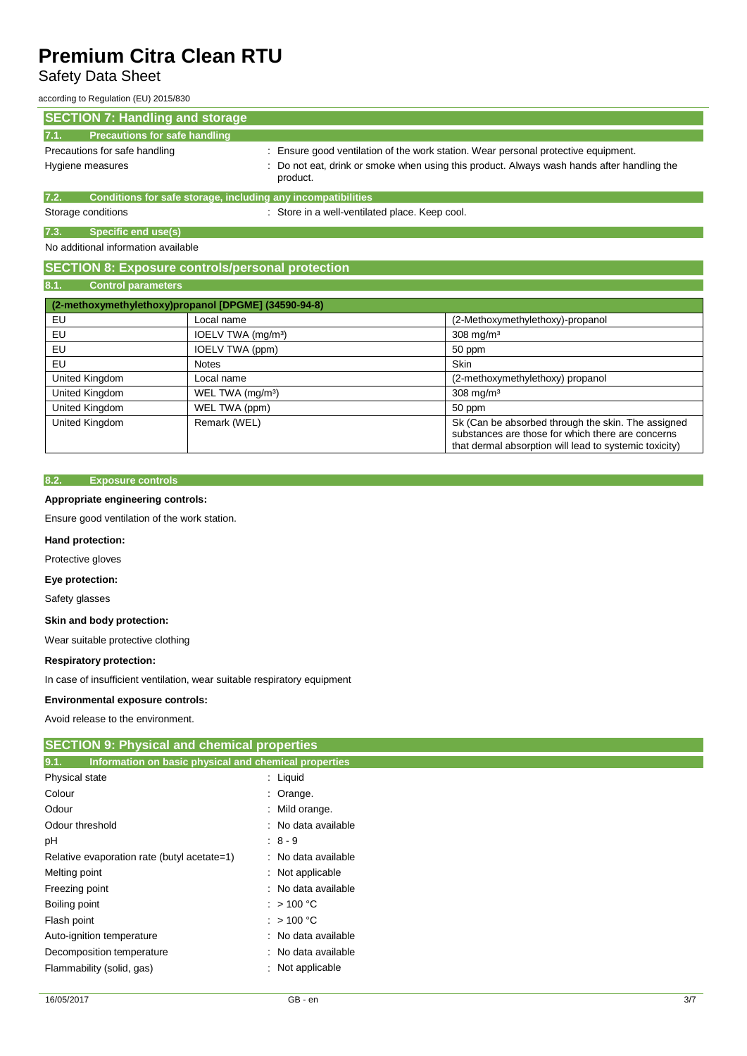## Safety Data Sheet

according to Regulation (EU) 2015/830

| <b>SECTION 7: Handling and storage</b>                               |                                                                                                        |  |
|----------------------------------------------------------------------|--------------------------------------------------------------------------------------------------------|--|
| <b>Precautions for safe handling</b><br>17.1.                        |                                                                                                        |  |
| Precautions for safe handling                                        | : Ensure good ventilation of the work station. Wear personal protective equipment.                     |  |
| Hygiene measures                                                     | : Do not eat, drink or smoke when using this product. Always wash hands after handling the<br>product. |  |
| Conditions for safe storage, including any incompatibilities<br>7.2. |                                                                                                        |  |
| Storage conditions                                                   | : Store in a well-ventilated place. Keep cool.                                                         |  |

**7.3. Specific end use(s)**

No additional information available

## **SECTION 8: Exposure controls/personal protection**

### **8.1. Control parameters**

|                | (2-methoxymethylethoxy)propanol [DPGME] (34590-94-8) |                                                                                                                                                                   |
|----------------|------------------------------------------------------|-------------------------------------------------------------------------------------------------------------------------------------------------------------------|
| EU             | Local name                                           | (2-Methoxymethylethoxy)-propanol                                                                                                                                  |
| EU             | IOELV TWA (mg/m <sup>3</sup> )                       | $308$ mg/m <sup>3</sup>                                                                                                                                           |
| EU             | IOELV TWA (ppm)                                      | 50 ppm                                                                                                                                                            |
| EU             | <b>Notes</b>                                         | <b>Skin</b>                                                                                                                                                       |
| United Kingdom | Local name                                           | (2-methoxymethylethoxy) propanol                                                                                                                                  |
| United Kingdom | WEL TWA (mg/m <sup>3</sup> )                         | $308 \text{ mg/m}^3$                                                                                                                                              |
| United Kingdom | WEL TWA (ppm)                                        | 50 ppm                                                                                                                                                            |
| United Kingdom | Remark (WEL)                                         | Sk (Can be absorbed through the skin. The assigned<br>substances are those for which there are concerns<br>that dermal absorption will lead to systemic toxicity) |

#### **8.2. Exposure controls**

### **Appropriate engineering controls:**

Ensure good ventilation of the work station.

### **Hand protection:**

Protective gloves

#### **Eye protection:**

Safety glasses

#### **Skin and body protection:**

Wear suitable protective clothing

### **Respiratory protection:**

In case of insufficient ventilation, wear suitable respiratory equipment

#### **Environmental exposure controls:**

Avoid release to the environment.

## **SECTION 9: Physical and chemical properties**

| Information on basic physical and chemical properties<br>9.1. |                      |
|---------------------------------------------------------------|----------------------|
| Physical state                                                | $:$ Liquid           |
| Colour                                                        | $\therefore$ Orange. |
| Odour                                                         | : Mild orange.       |
| Odour threshold                                               | : No data available  |
| pH                                                            | $: 8 - 9$            |
| Relative evaporation rate (butyl acetate=1)                   | : No data available  |
| Melting point                                                 | : Not applicable     |
| Freezing point                                                | : No data available  |
| Boiling point                                                 | $:$ > 100 °C         |
| Flash point                                                   | $:$ > 100 °C         |
| Auto-ignition temperature                                     | : No data available  |
| Decomposition temperature                                     | : No data available  |
| Flammability (solid, gas)                                     | : Not applicable     |
|                                                               |                      |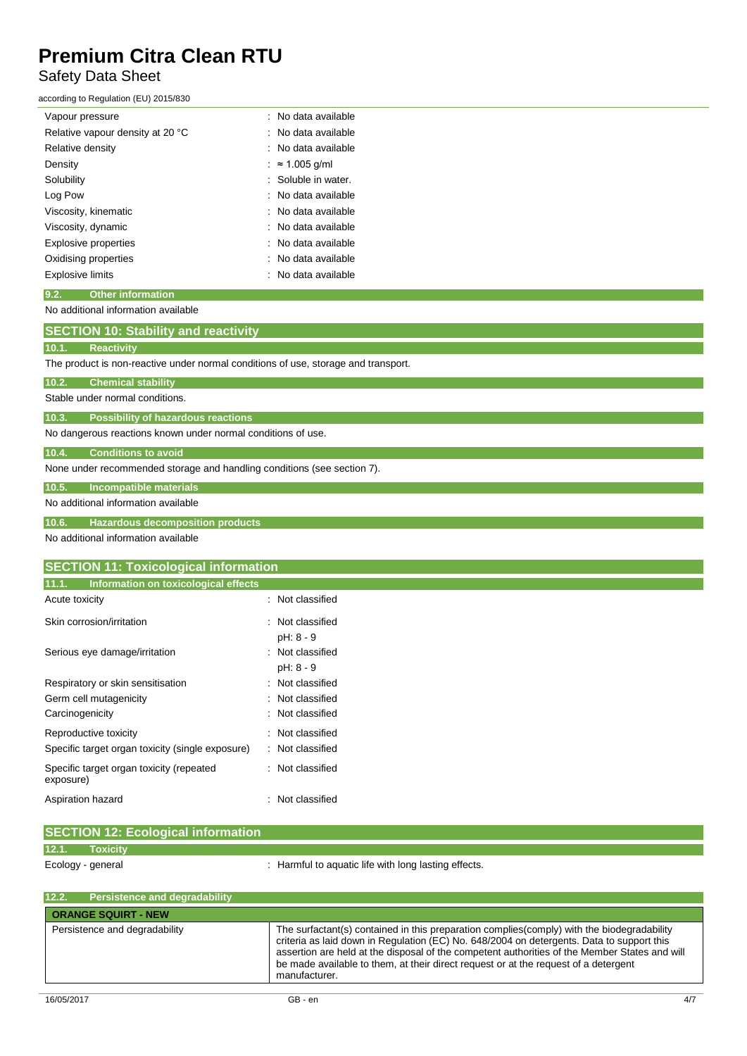## Safety Data Sheet

according to Regulation (EU) 2015/830

| Vapour pressure                  | : No data available  |
|----------------------------------|----------------------|
| Relative vapour density at 20 °C | : No data available  |
| Relative density                 | : No data available  |
| Density                          | $\approx 1.005$ q/ml |
| Solubility                       | Soluble in water.    |
| Log Pow                          | : No data available  |
| Viscosity, kinematic             | : No data available  |
| Viscosity, dynamic               | : No data available  |
| Explosive properties             | : No data available  |
| Oxidising properties             | : No data available  |
| Explosive limits                 | : No data available  |

## **9.2. Other information**

No additional information available

## **SECTION 10: Stability and reactivity**

### **10.1. Reactivity**

The product is non-reactive under normal conditions of use, storage and transport.

| 10.2. | <b>Chemical stability</b> |  |
|-------|---------------------------|--|
|       |                           |  |

Stable under normal conditions.

**10.3. Possibility of hazardous reactions**

No dangerous reactions known under normal conditions of use.

#### **10.4. Conditions to avoid**

None under recommended storage and handling conditions (see section 7).

**10.5. Incompatible materials**

#### No additional information available

**10.6. Hazardous decomposition products**

No additional information available

## **SECTION 11: Toxicological information**

| 11.1.<br>Information on toxicological effects         |                  |
|-------------------------------------------------------|------------------|
| Acute toxicity                                        | : Not classified |
| Skin corrosion/irritation                             | : Not classified |
|                                                       | pH: 8 - 9        |
| Serious eye damage/irritation                         | : Not classified |
|                                                       | pH: 8 - 9        |
| Respiratory or skin sensitisation                     | : Not classified |
| Germ cell mutagenicity                                | : Not classified |
| Carcinogenicity                                       | : Not classified |
| Reproductive toxicity                                 | Not classified   |
| Specific target organ toxicity (single exposure)      | Not classified   |
| Specific target organ toxicity (repeated<br>exposure) | : Not classified |
| Aspiration hazard                                     | Not classified   |

|       | <b>SECTION 12: Ecological information</b> |                                                      |
|-------|-------------------------------------------|------------------------------------------------------|
| 12.1. | <b>Toxicity</b>                           |                                                      |
|       |                                           |                                                      |
|       | Ecology - general                         | : Harmful to aquatic life with long lasting effects. |
|       |                                           |                                                      |
|       |                                           |                                                      |

| 12.2.<br><b>Persistence and degradability</b> |                                                                                                                                                                                                                                                                                                                                                                                                  |  |  |  |  |
|-----------------------------------------------|--------------------------------------------------------------------------------------------------------------------------------------------------------------------------------------------------------------------------------------------------------------------------------------------------------------------------------------------------------------------------------------------------|--|--|--|--|
| <b>ORANGE SQUIRT - NEW</b>                    |                                                                                                                                                                                                                                                                                                                                                                                                  |  |  |  |  |
| Persistence and degradability                 | The surfactant(s) contained in this preparation complies(comply) with the biodegradability<br>criteria as laid down in Regulation (EC) No. 648/2004 on detergents. Data to support this<br>assertion are held at the disposal of the competent authorities of the Member States and will<br>be made available to them, at their direct request or at the request of a detergent<br>manufacturer. |  |  |  |  |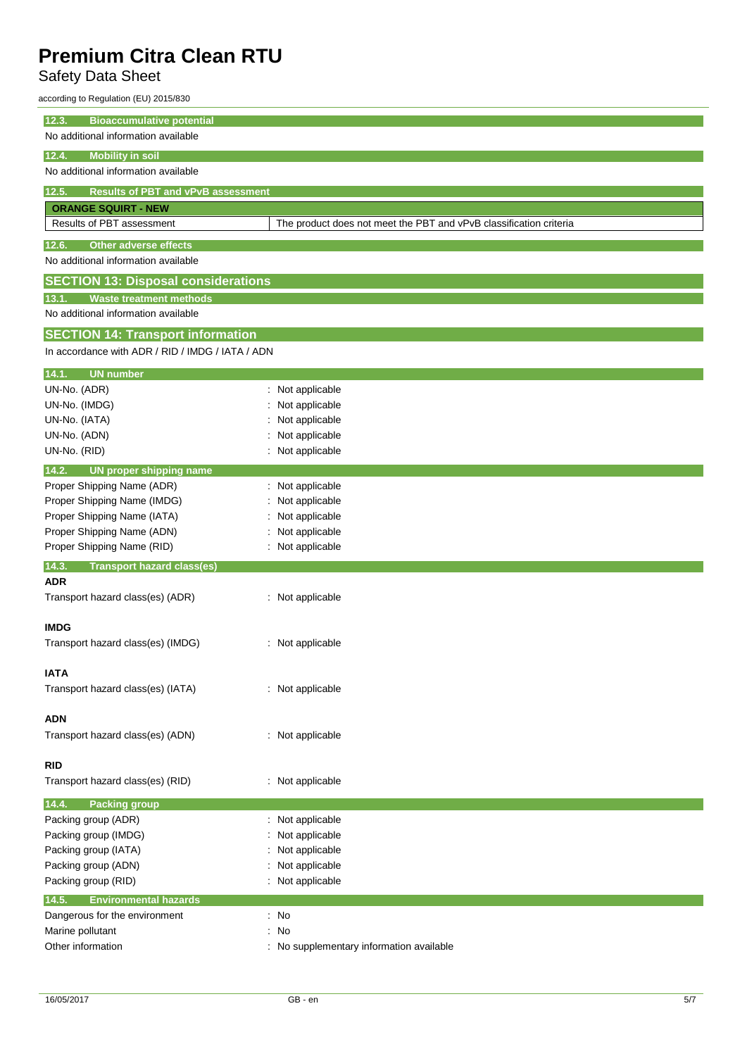## Safety Data Sheet

according to Regulation (EU) 2015/830

| 12.3.<br><b>Bioaccumulative potential</b>                                    |                                                                    |  |  |  |
|------------------------------------------------------------------------------|--------------------------------------------------------------------|--|--|--|
| No additional information available                                          |                                                                    |  |  |  |
| <b>Mobility in soil</b><br>12.4.                                             |                                                                    |  |  |  |
| No additional information available                                          |                                                                    |  |  |  |
| 12.5.<br><b>Results of PBT and vPvB assessment</b>                           |                                                                    |  |  |  |
| <b>ORANGE SQUIRT - NEW</b>                                                   |                                                                    |  |  |  |
| Results of PBT assessment                                                    | The product does not meet the PBT and vPvB classification criteria |  |  |  |
|                                                                              |                                                                    |  |  |  |
| <b>Other adverse effects</b><br>12.6.<br>No additional information available |                                                                    |  |  |  |
|                                                                              |                                                                    |  |  |  |
| <b>SECTION 13: Disposal considerations</b>                                   |                                                                    |  |  |  |
| <b>Waste treatment methods</b><br>13.1.                                      |                                                                    |  |  |  |
| No additional information available                                          |                                                                    |  |  |  |
| <b>SECTION 14: Transport information</b>                                     |                                                                    |  |  |  |
| In accordance with ADR / RID / IMDG / IATA / ADN                             |                                                                    |  |  |  |
| 14.1.<br><b>UN number</b>                                                    |                                                                    |  |  |  |
| UN-No. (ADR)                                                                 | : Not applicable                                                   |  |  |  |
| UN-No. (IMDG)                                                                | Not applicable                                                     |  |  |  |
| UN-No. (IATA)                                                                | Not applicable                                                     |  |  |  |
| UN-No. (ADN)                                                                 | Not applicable                                                     |  |  |  |
| UN-No. (RID)                                                                 | : Not applicable                                                   |  |  |  |
| 14.2.<br><b>UN proper shipping name</b>                                      |                                                                    |  |  |  |
| Proper Shipping Name (ADR)                                                   | Not applicable                                                     |  |  |  |
| Proper Shipping Name (IMDG)                                                  | Not applicable                                                     |  |  |  |
| Proper Shipping Name (IATA)                                                  | Not applicable                                                     |  |  |  |
| Proper Shipping Name (ADN)                                                   | Not applicable                                                     |  |  |  |
| Proper Shipping Name (RID)                                                   | Not applicable                                                     |  |  |  |
| 14.3.<br><b>Transport hazard class(es)</b>                                   |                                                                    |  |  |  |
| <b>ADR</b>                                                                   |                                                                    |  |  |  |
| Transport hazard class(es) (ADR)                                             | : Not applicable                                                   |  |  |  |
| <b>IMDG</b>                                                                  |                                                                    |  |  |  |
| Transport hazard class(es) (IMDG)                                            | : Not applicable                                                   |  |  |  |
|                                                                              |                                                                    |  |  |  |
| <b>IATA</b>                                                                  |                                                                    |  |  |  |
| Transport hazard class(es) (IATA)                                            | : Not applicable                                                   |  |  |  |
|                                                                              |                                                                    |  |  |  |
| <b>ADN</b>                                                                   |                                                                    |  |  |  |
| Transport hazard class(es) (ADN)                                             | : Not applicable                                                   |  |  |  |
|                                                                              |                                                                    |  |  |  |
| <b>RID</b>                                                                   |                                                                    |  |  |  |
| Transport hazard class(es) (RID)                                             | : Not applicable                                                   |  |  |  |
| 14.4.<br><b>Packing group</b>                                                |                                                                    |  |  |  |
| Packing group (ADR)                                                          | : Not applicable                                                   |  |  |  |
| Packing group (IMDG)                                                         | Not applicable                                                     |  |  |  |
| Packing group (IATA)                                                         | Not applicable                                                     |  |  |  |
| Packing group (ADN)                                                          | Not applicable                                                     |  |  |  |
| Packing group (RID)                                                          | Not applicable                                                     |  |  |  |
| 14.5.<br><b>Environmental hazards</b>                                        |                                                                    |  |  |  |
| Dangerous for the environment                                                | : No                                                               |  |  |  |
| Marine pollutant                                                             | No                                                                 |  |  |  |
| Other information                                                            | No supplementary information available                             |  |  |  |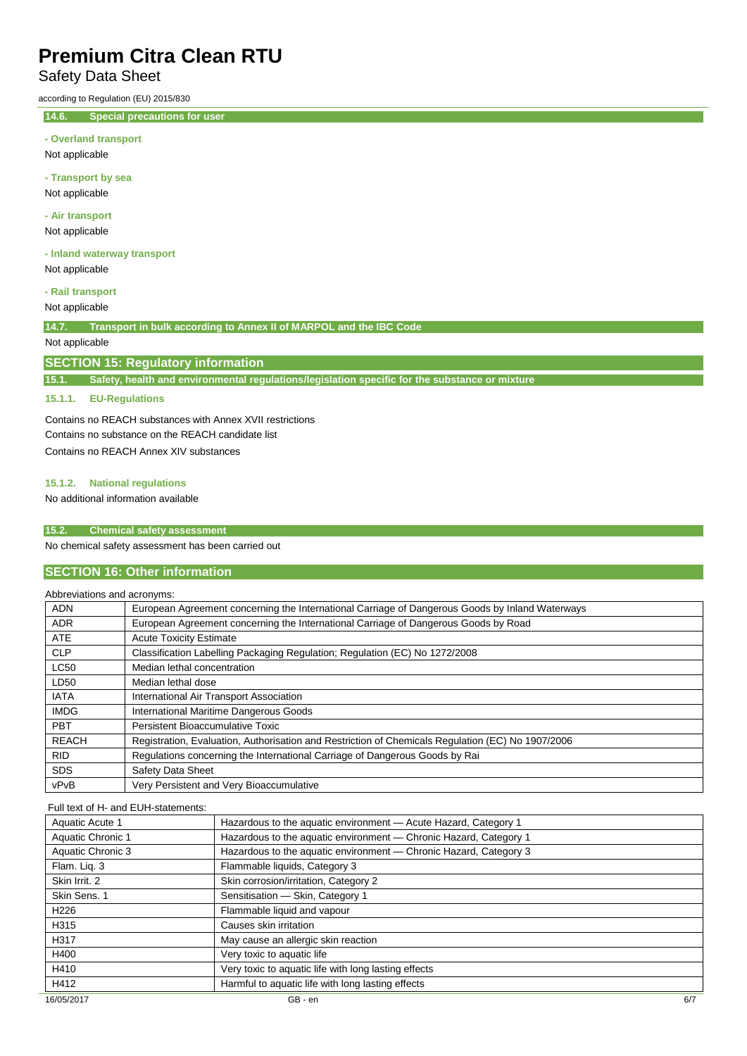## Safety Data Sheet

according to Regulation (EU) 2015/830

**14.6. Special precautions for user**

|  |  |  | - Overland transport |
|--|--|--|----------------------|
|--|--|--|----------------------|

Not applicable

**- Transport by sea** Not applicable

**- Air transport**

Not applicable

**- Inland waterway transport** Not applicable

**- Rail transport**

Not applicable

**14.7. Transport in bulk according to Annex II of MARPOL and the IBC Code**

## Not applicable

### **SECTION 15: Regulatory information**

**15.1. Safety, health and environmental regulations/legislation specific for the substance or mixture**

## **15.1.1. EU-Regulations**

Contains no REACH substances with Annex XVII restrictions Contains no substance on the REACH candidate list Contains no REACH Annex XIV substances

#### **15.1.2. National regulations**

No additional information available

### **15.2. Chemical safety assessment**

No chemical safety assessment has been carried out

## **SECTION 16: Other information**

## Abbreviations and acronyms:

| <b>ADN</b>   | European Agreement concerning the International Carriage of Dangerous Goods by Inland Waterways   |
|--------------|---------------------------------------------------------------------------------------------------|
| <b>ADR</b>   | European Agreement concerning the International Carriage of Dangerous Goods by Road               |
| <b>ATE</b>   | <b>Acute Toxicity Estimate</b>                                                                    |
| <b>CLP</b>   | Classification Labelling Packaging Regulation; Regulation (EC) No 1272/2008                       |
| <b>LC50</b>  | Median lethal concentration                                                                       |
| LD50         | Median lethal dose                                                                                |
| <b>IATA</b>  | International Air Transport Association                                                           |
| <b>IMDG</b>  | International Maritime Dangerous Goods                                                            |
| <b>PBT</b>   | Persistent Bioaccumulative Toxic                                                                  |
| <b>REACH</b> | Registration, Evaluation, Authorisation and Restriction of Chemicals Regulation (EC) No 1907/2006 |
| <b>RID</b>   | Regulations concerning the International Carriage of Dangerous Goods by Rai                       |
| <b>SDS</b>   | Safety Data Sheet                                                                                 |
| vPvB         | Very Persistent and Very Bioaccumulative                                                          |

## Full text of H- and EUH-statements:

| Aquatic Acute 1   | Hazardous to the aquatic environment - Acute Hazard, Category 1   |
|-------------------|-------------------------------------------------------------------|
| Aquatic Chronic 1 | Hazardous to the aquatic environment - Chronic Hazard, Category 1 |
| Aquatic Chronic 3 | Hazardous to the aquatic environment - Chronic Hazard, Category 3 |
| Flam. Liq. 3      | Flammable liquids, Category 3                                     |
| Skin Irrit, 2     | Skin corrosion/irritation, Category 2                             |
| Skin Sens. 1      | Sensitisation - Skin, Category 1                                  |
| H <sub>226</sub>  | Flammable liquid and vapour                                       |
| H315              | Causes skin irritation                                            |
| H317              | May cause an allergic skin reaction                               |
| H400              | Very toxic to aquatic life                                        |
| H410              | Very toxic to aquatic life with long lasting effects              |
| H412              | Harmful to aquatic life with long lasting effects                 |